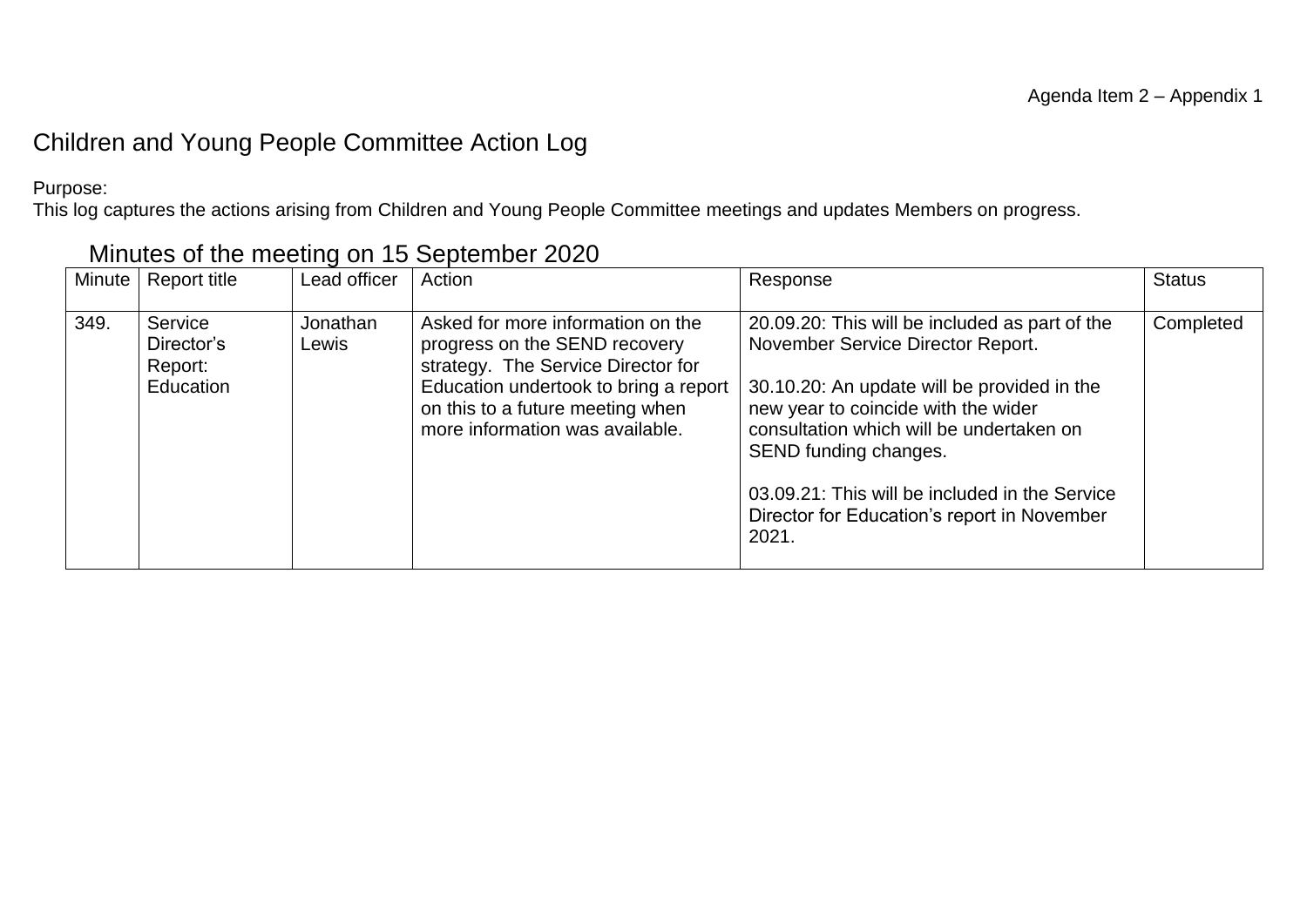#### Children and Young People Committee Action Log

Purpose:

This log captures the actions arising from Children and Young People Committee meetings and updates Members on progress.

| <b>Minute</b> | Report title                                  | Lead officer      | Action                                                                                                                                                                                                                   | Response                                                                                                                                                                                                                                                                                                                                                 | <b>Status</b> |
|---------------|-----------------------------------------------|-------------------|--------------------------------------------------------------------------------------------------------------------------------------------------------------------------------------------------------------------------|----------------------------------------------------------------------------------------------------------------------------------------------------------------------------------------------------------------------------------------------------------------------------------------------------------------------------------------------------------|---------------|
| 349.          | Service<br>Director's<br>Report:<br>Education | Jonathan<br>Lewis | Asked for more information on the<br>progress on the SEND recovery<br>strategy. The Service Director for<br>Education undertook to bring a report<br>on this to a future meeting when<br>more information was available. | 20.09.20: This will be included as part of the<br>November Service Director Report.<br>30.10.20: An update will be provided in the<br>new year to coincide with the wider<br>consultation which will be undertaken on<br>SEND funding changes.<br>03.09.21: This will be included in the Service<br>Director for Education's report in November<br>2021. | Completed     |

#### Minutes of the meeting on 15 September 2020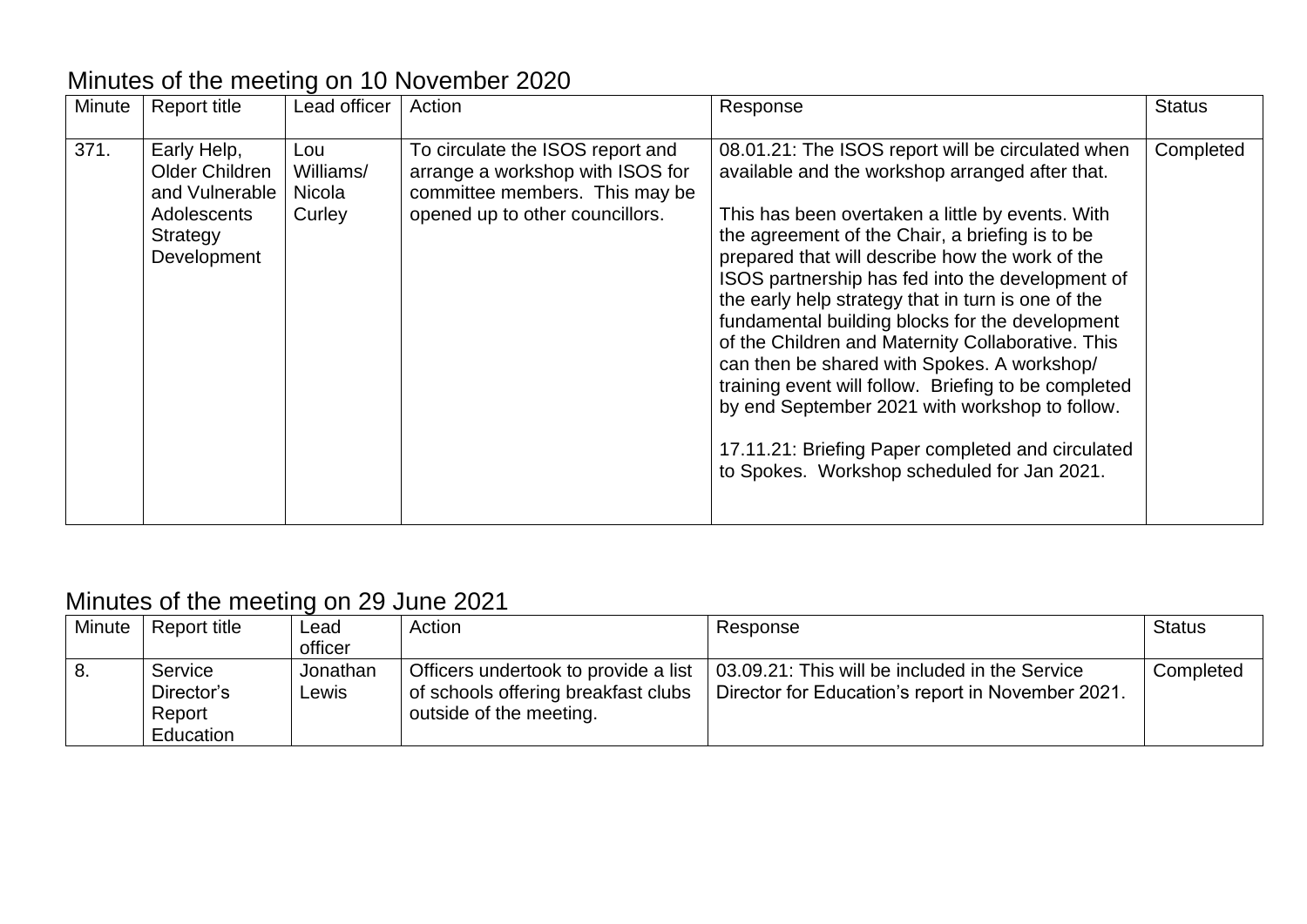# Minutes of the meeting on 10 November 2020

| Minute | <b>Report title</b>                                                                         | Lead officer                         | Action                                                                                                                                    | Response                                                                                                                                                                                                                                                                                                                                                                                                                                                                                                                                                                                                                                                                                                                                      | <b>Status</b> |
|--------|---------------------------------------------------------------------------------------------|--------------------------------------|-------------------------------------------------------------------------------------------------------------------------------------------|-----------------------------------------------------------------------------------------------------------------------------------------------------------------------------------------------------------------------------------------------------------------------------------------------------------------------------------------------------------------------------------------------------------------------------------------------------------------------------------------------------------------------------------------------------------------------------------------------------------------------------------------------------------------------------------------------------------------------------------------------|---------------|
| 371.   | Early Help,<br>Older Children<br>and Vulnerable  <br>Adolescents<br>Strategy<br>Development | Lou<br>Williams/<br>Nicola<br>Curley | To circulate the ISOS report and<br>arrange a workshop with ISOS for<br>committee members. This may be<br>opened up to other councillors. | 08.01.21: The ISOS report will be circulated when<br>available and the workshop arranged after that.<br>This has been overtaken a little by events. With<br>the agreement of the Chair, a briefing is to be<br>prepared that will describe how the work of the<br>ISOS partnership has fed into the development of<br>the early help strategy that in turn is one of the<br>fundamental building blocks for the development<br>of the Children and Maternity Collaborative. This<br>can then be shared with Spokes. A workshop/<br>training event will follow. Briefing to be completed<br>by end September 2021 with workshop to follow.<br>17.11.21: Briefing Paper completed and circulated<br>to Spokes. Workshop scheduled for Jan 2021. | Completed     |

# Minutes of the meeting on 29 June 2021

| <b>Minute</b> | Report title | ∟ead     | Action                               | Response                                          | <b>Status</b> |
|---------------|--------------|----------|--------------------------------------|---------------------------------------------------|---------------|
|               |              | officer  |                                      |                                                   |               |
| -8.           | Service      | Jonathan | Officers undertook to provide a list | 03.09.21: This will be included in the Service    | Completed     |
|               | Director's   | ∟ewis    | of schools offering breakfast clubs  | Director for Education's report in November 2021. |               |
|               | Report       |          | outside of the meeting.              |                                                   |               |
|               | Education    |          |                                      |                                                   |               |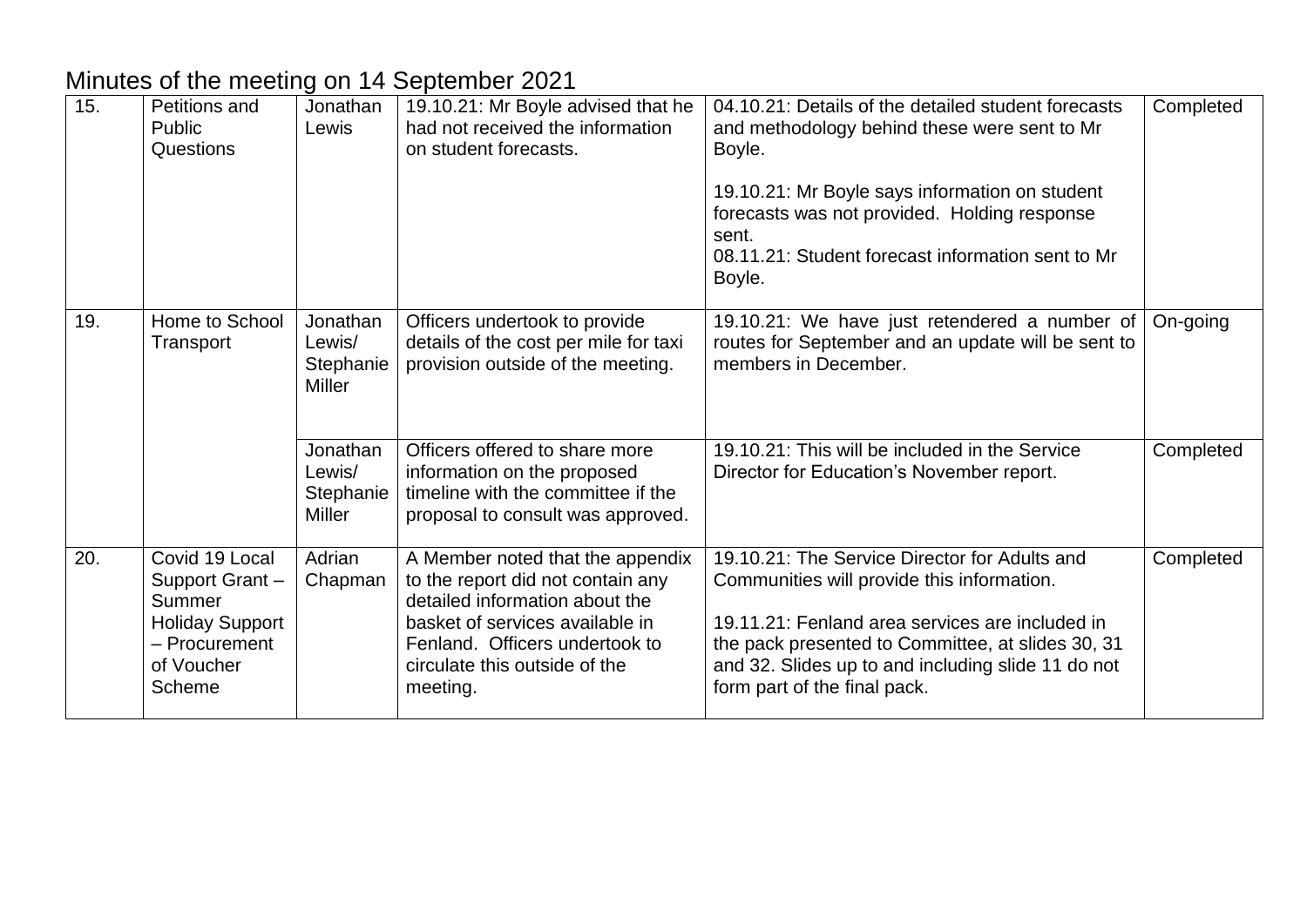#### Minutes of the meeting on 14 September 2021

| 15. | Petitions and<br>Public<br>Questions                                                                                 | Jonathan<br>Lewis                                | 19.10.21: Mr Boyle advised that he<br>had not received the information<br>on student forecasts.                                                                                                                           | 04.10.21: Details of the detailed student forecasts<br>and methodology behind these were sent to Mr<br>Boyle.<br>19.10.21: Mr Boyle says information on student<br>forecasts was not provided. Holding response<br>sent.<br>08.11.21: Student forecast information sent to Mr<br>Boyle.   | Completed |
|-----|----------------------------------------------------------------------------------------------------------------------|--------------------------------------------------|---------------------------------------------------------------------------------------------------------------------------------------------------------------------------------------------------------------------------|-------------------------------------------------------------------------------------------------------------------------------------------------------------------------------------------------------------------------------------------------------------------------------------------|-----------|
| 19. | Home to School<br>Transport                                                                                          | Jonathan<br>Lewis/<br>Stephanie<br><b>Miller</b> | Officers undertook to provide<br>details of the cost per mile for taxi<br>provision outside of the meeting.                                                                                                               | 19.10.21: We have just retendered a number of<br>routes for September and an update will be sent to<br>members in December.                                                                                                                                                               | On-going  |
|     |                                                                                                                      | Jonathan<br>Lewis/<br>Stephanie<br><b>Miller</b> | Officers offered to share more<br>information on the proposed<br>timeline with the committee if the<br>proposal to consult was approved.                                                                                  | 19.10.21: This will be included in the Service<br>Director for Education's November report.                                                                                                                                                                                               | Completed |
| 20. | Covid 19 Local<br>Support Grant-<br>Summer<br><b>Holiday Support</b><br>- Procurement<br>of Voucher<br><b>Scheme</b> | Adrian<br>Chapman                                | A Member noted that the appendix<br>to the report did not contain any<br>detailed information about the<br>basket of services available in<br>Fenland. Officers undertook to<br>circulate this outside of the<br>meeting. | 19.10.21: The Service Director for Adults and<br>Communities will provide this information.<br>19.11.21: Fenland area services are included in<br>the pack presented to Committee, at slides 30, 31<br>and 32. Slides up to and including slide 11 do not<br>form part of the final pack. | Completed |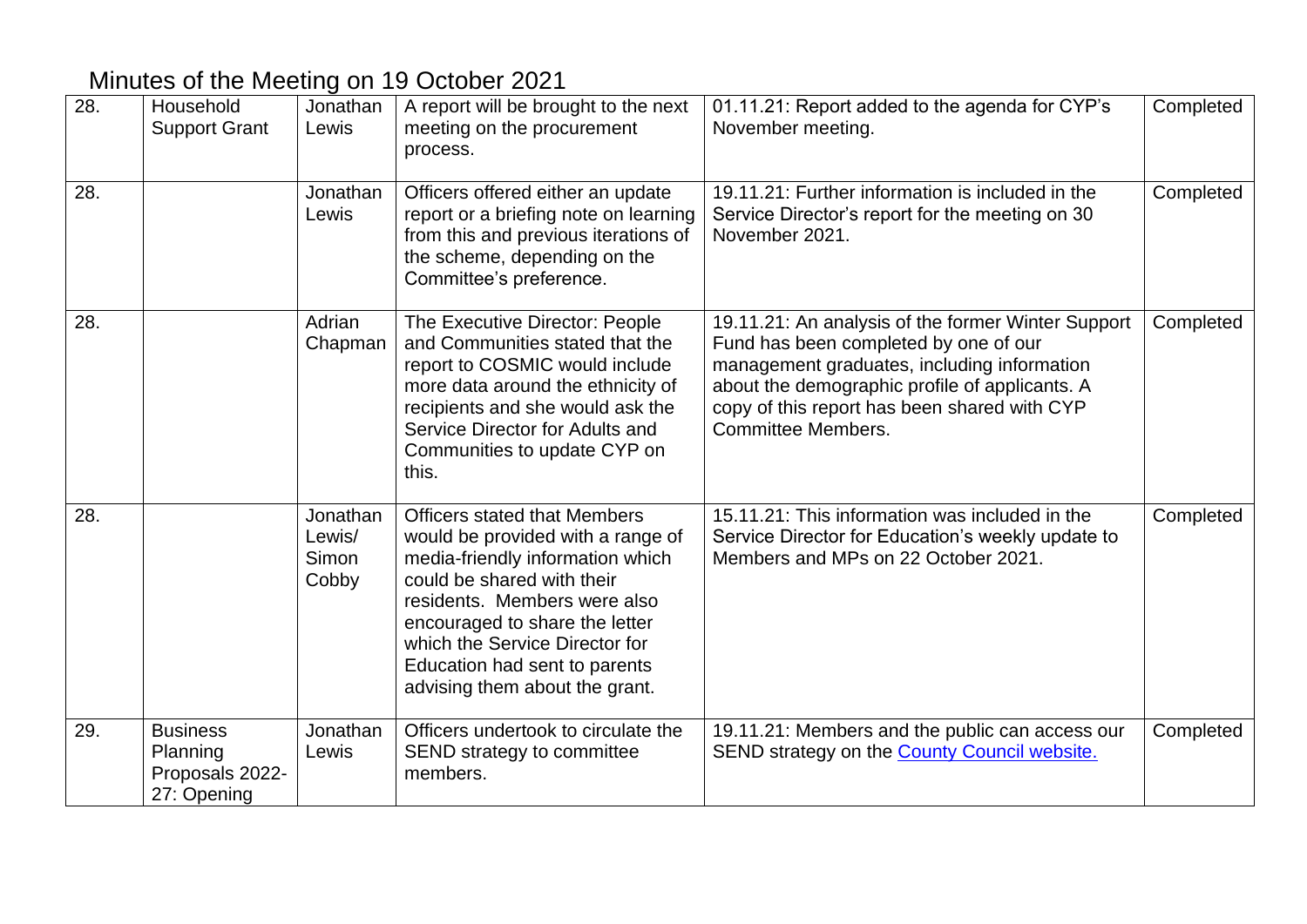# Minutes of the Meeting on 19 October 2021

| 28. | Household<br><b>Support Grant</b>                             | Jonathan<br>Lewis                    | A report will be brought to the next<br>meeting on the procurement<br>process.                                                                                                                                                                                                                                    | 01.11.21: Report added to the agenda for CYP's<br>November meeting.                                                                                                                                                                                                       | Completed |
|-----|---------------------------------------------------------------|--------------------------------------|-------------------------------------------------------------------------------------------------------------------------------------------------------------------------------------------------------------------------------------------------------------------------------------------------------------------|---------------------------------------------------------------------------------------------------------------------------------------------------------------------------------------------------------------------------------------------------------------------------|-----------|
| 28. |                                                               | Jonathan<br>Lewis                    | Officers offered either an update<br>report or a briefing note on learning<br>from this and previous iterations of<br>the scheme, depending on the<br>Committee's preference.                                                                                                                                     | 19.11.21: Further information is included in the<br>Service Director's report for the meeting on 30<br>November 2021.                                                                                                                                                     | Completed |
| 28. |                                                               | Adrian<br>Chapman                    | The Executive Director: People<br>and Communities stated that the<br>report to COSMIC would include<br>more data around the ethnicity of<br>recipients and she would ask the<br>Service Director for Adults and<br>Communities to update CYP on<br>this.                                                          | 19.11.21: An analysis of the former Winter Support<br>Fund has been completed by one of our<br>management graduates, including information<br>about the demographic profile of applicants. A<br>copy of this report has been shared with CYP<br><b>Committee Members.</b> | Completed |
| 28. |                                                               | Jonathan<br>Lewis/<br>Simon<br>Cobby | <b>Officers stated that Members</b><br>would be provided with a range of<br>media-friendly information which<br>could be shared with their<br>residents. Members were also<br>encouraged to share the letter<br>which the Service Director for<br>Education had sent to parents<br>advising them about the grant. | 15.11.21: This information was included in the<br>Service Director for Education's weekly update to<br>Members and MPs on 22 October 2021.                                                                                                                                | Completed |
| 29. | <b>Business</b><br>Planning<br>Proposals 2022-<br>27: Opening | Jonathan<br>Lewis                    | Officers undertook to circulate the<br>SEND strategy to committee<br>members.                                                                                                                                                                                                                                     | 19.11.21: Members and the public can access our<br>SEND strategy on the <b>County Council website.</b>                                                                                                                                                                    | Completed |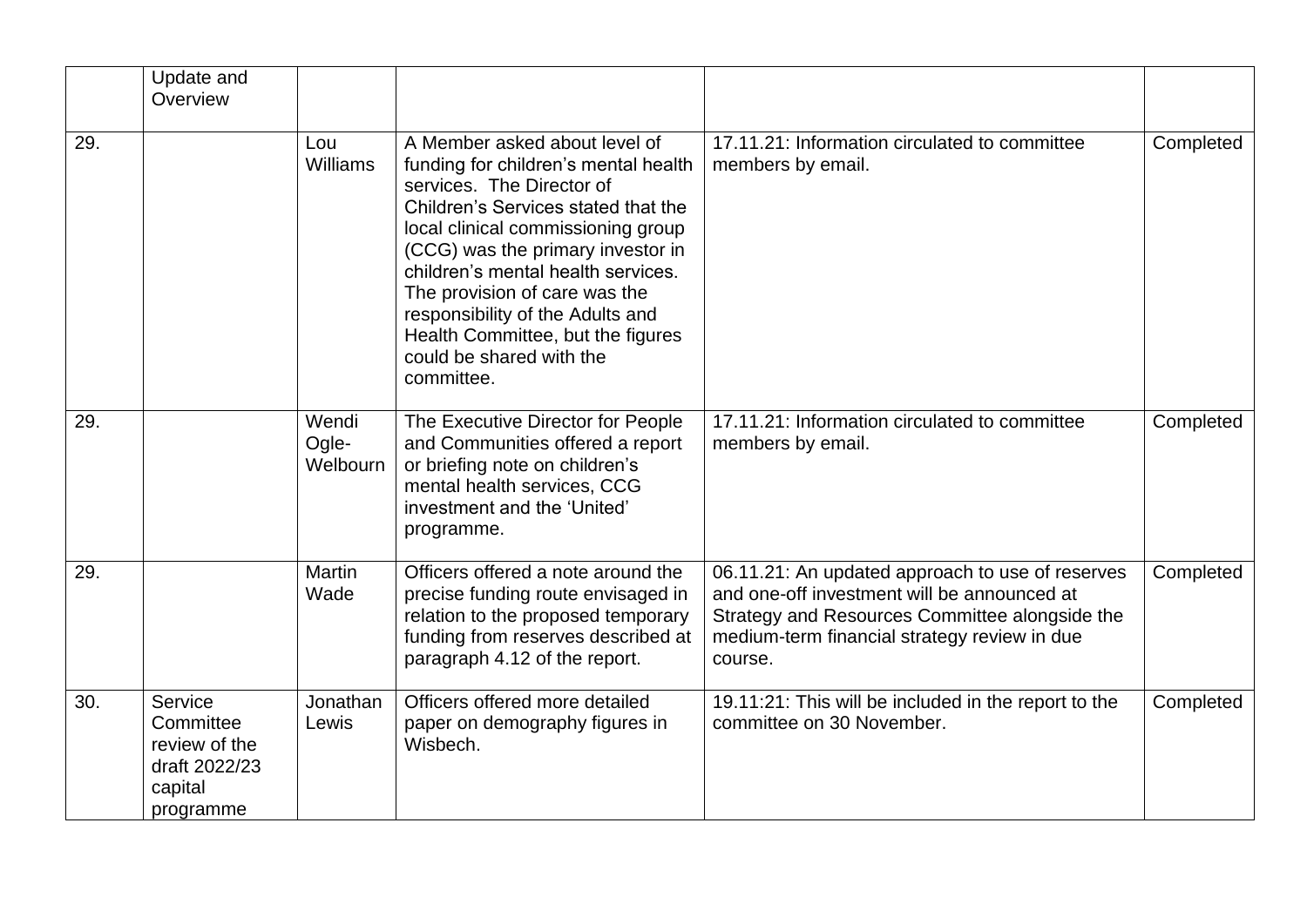|     | Update and<br>Overview                                                         |                            |                                                                                                                                                                                                                                                                                                                                                                                                                |                                                                                                                                                                                                              |           |
|-----|--------------------------------------------------------------------------------|----------------------------|----------------------------------------------------------------------------------------------------------------------------------------------------------------------------------------------------------------------------------------------------------------------------------------------------------------------------------------------------------------------------------------------------------------|--------------------------------------------------------------------------------------------------------------------------------------------------------------------------------------------------------------|-----------|
| 29. |                                                                                | Lou<br>Williams            | A Member asked about level of<br>funding for children's mental health<br>services. The Director of<br>Children's Services stated that the<br>local clinical commissioning group<br>(CCG) was the primary investor in<br>children's mental health services.<br>The provision of care was the<br>responsibility of the Adults and<br>Health Committee, but the figures<br>could be shared with the<br>committee. | 17.11.21: Information circulated to committee<br>members by email.                                                                                                                                           | Completed |
| 29. |                                                                                | Wendi<br>Ogle-<br>Welbourn | The Executive Director for People<br>and Communities offered a report<br>or briefing note on children's<br>mental health services, CCG<br>investment and the 'United'<br>programme.                                                                                                                                                                                                                            | 17.11.21: Information circulated to committee<br>members by email.                                                                                                                                           | Completed |
| 29. |                                                                                | <b>Martin</b><br>Wade      | Officers offered a note around the<br>precise funding route envisaged in<br>relation to the proposed temporary<br>funding from reserves described at<br>paragraph 4.12 of the report.                                                                                                                                                                                                                          | 06.11.21: An updated approach to use of reserves<br>and one-off investment will be announced at<br>Strategy and Resources Committee alongside the<br>medium-term financial strategy review in due<br>course. | Completed |
| 30. | Service<br>Committee<br>review of the<br>draft 2022/23<br>capital<br>programme | Jonathan<br>Lewis          | Officers offered more detailed<br>paper on demography figures in<br>Wisbech.                                                                                                                                                                                                                                                                                                                                   | 19.11:21: This will be included in the report to the<br>committee on 30 November.                                                                                                                            | Completed |